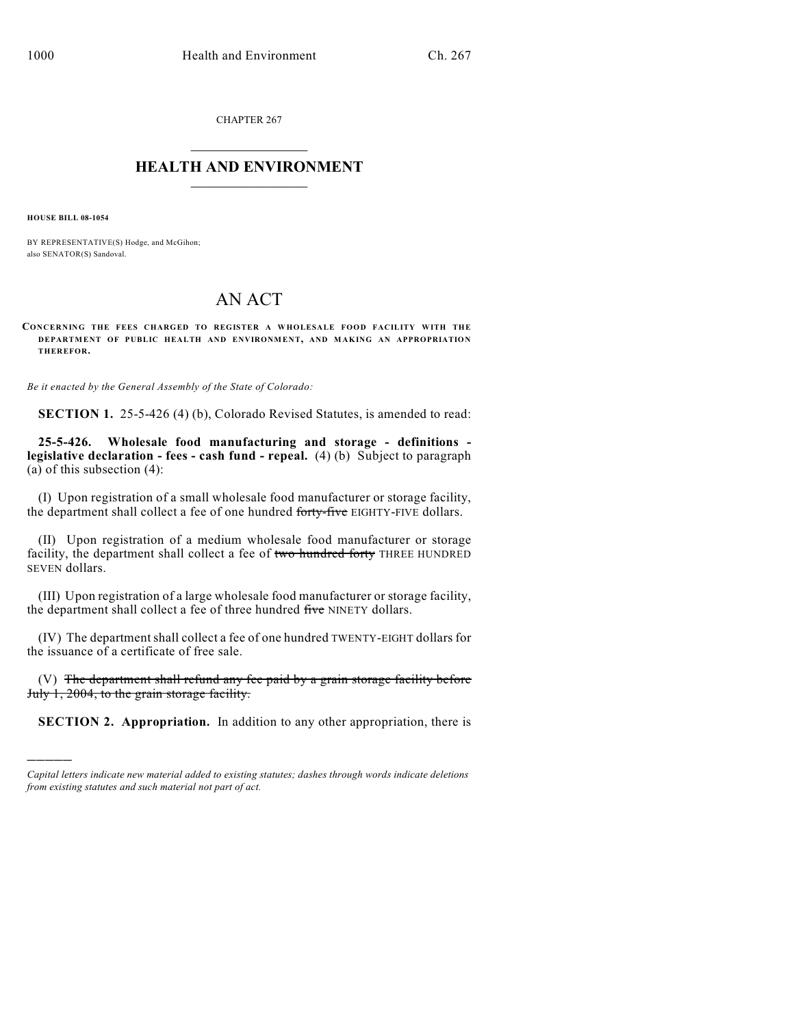CHAPTER 267  $\mathcal{L}_\text{max}$  . The set of the set of the set of the set of the set of the set of the set of the set of the set of the set of the set of the set of the set of the set of the set of the set of the set of the set of the set

## **HEALTH AND ENVIRONMENT**  $\frac{1}{2}$  ,  $\frac{1}{2}$  ,  $\frac{1}{2}$  ,  $\frac{1}{2}$  ,  $\frac{1}{2}$  ,  $\frac{1}{2}$  ,  $\frac{1}{2}$

**HOUSE BILL 08-1054**

)))))

BY REPRESENTATIVE(S) Hodge, and McGihon; also SENATOR(S) Sandoval.

## AN ACT

**CONCERNING THE FEES CHARGED TO REGISTER A WHOLESALE FOOD FACILITY WITH THE DEPARTMENT OF PUBLIC HEALTH AND ENVIRONMENT, AND MAKING AN APPROPRIATION THEREFOR.**

*Be it enacted by the General Assembly of the State of Colorado:*

**SECTION 1.** 25-5-426 (4) (b), Colorado Revised Statutes, is amended to read:

**25-5-426. Wholesale food manufacturing and storage - definitions legislative declaration - fees - cash fund - repeal.** (4) (b) Subject to paragraph (a) of this subsection (4):

(I) Upon registration of a small wholesale food manufacturer or storage facility, the department shall collect a fee of one hundred forty-five EIGHTY-FIVE dollars.

(II) Upon registration of a medium wholesale food manufacturer or storage facility, the department shall collect a fee of two hundred forty THREE HUNDRED SEVEN dollars.

(III) Upon registration of a large wholesale food manufacturer or storage facility, the department shall collect a fee of three hundred five NINETY dollars.

(IV) The departmentshall collect a fee of one hundred TWENTY-EIGHT dollars for the issuance of a certificate of free sale.

(V) The department shall refund any fee paid by a grain storage facility before July 1, 2004, to the grain storage facility.

**SECTION 2. Appropriation.** In addition to any other appropriation, there is

*Capital letters indicate new material added to existing statutes; dashes through words indicate deletions from existing statutes and such material not part of act.*